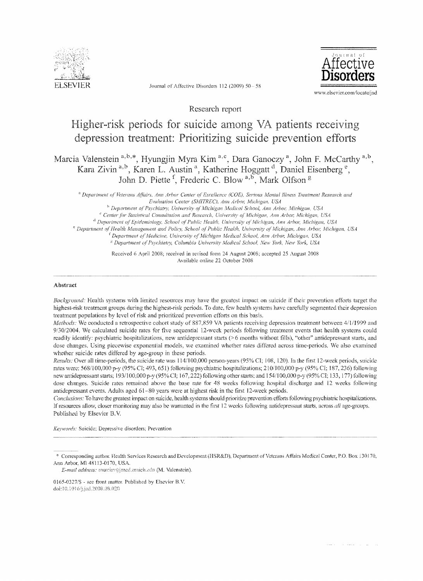

SEVIER Journal of Affective Disorders 112 (2009) 50 - 58



Research report

# for suicide among VA patients depression treatment: Prioritizing suicide prevention efforts

Marcia Valenstein<sup>a,b,\*</sup>, Hyungjin Myra Kim<sup>a,c</sup>, Dara Ganoczy<sup>a</sup>, John F. McCarthy<sup>a,b</sup>, Kara Zivin <sup>a,b</sup>, Karen L. Austin <sup>a</sup>, Katherine Hoggatt <sup>a</sup>, Daniel Eisenberg <sup>e</sup> Piette<sup>1</sup>, Frederic C. Blow <sup>a,b</sup>, Mark Olfson <sup>g</sup>

<sup>a</sup> Department of Veterans Affairs, Ann Arbor Center of Excellence (COE), Serious Mental Illness Treatment Research and Evaluation Center (SMITREC), Ann Arbor, Michigan, USA

<sup>a</sup> Department of Psychiatry, University of Michigan Medical School, Ann Arbor, Michigan, USA <sup>e</sup> Center for Statistical Consultation and Research, University of Michigan, Ann Arbor; Michigan, USA

d *Departmcnt oj' Epidemiology, School ofPublic Health, Univc!'si(F af'Michigan,* AUi1 *ArbOl; i'ilicitigan,* USA

<sup>e</sup> Department of Health Management and Policy, School of Public Health, University of Michigan, Ann Arbor, Michigan, USA

<sup>t</sup> Department of Medicine, University of Michigan Medical School, Ann Arbor, Michigan, USA

<sup>8</sup> Department of Psychiatry, Columbia University Medical School, New York, New York, USA

Received 6 April 2008; received in revised fbrm 24 August 2008; accepted 25 August 2008 Available online 22 October 2008

## Abstract

*Background:* Health systems with limited resources may have the greatest impact on suicide if their prevention efforts target the highest-risk treatment groups during the highest-risk periods. To date, few health systems have carefully segmented their depression treatment populations by level of risk and prioritized prevention efforts on this basis.

*Methods:* We conducted a retrospective cohort study of 887,859 VA patients receiving depression treatment between 4/1/1999 and 9/30/2004. We calculated suicide rates for five sequential 12-week periods following treatment events that health systems could readily identify; psychiatric hospitalizations, new antidepressant starts (>6 months without fills), "other" antidepressant starts, and dose changes. Using piecewise exponential models, we examined whether rates differed across time-periods. We also examined whether suicide rates differed by age-group in these periods.

*Results: Over all time-periods, the suicide rate was 114/100,000 person-years (95% CI; 108, 120). In the first 12-week periods, suicide* rates were: 568/100,000 p-y (95% CI; 493, 651) following psychiatric hospitalizations; 210/100,000 p-y (95% CI; 187, 236) following new antidepressant starts; 193/100,000 p-y (95% CI; 167, 222) following other starts; and 154/100,000 p-y (95% CI; 133, 177) following dose changes. Suicide rates remained above the base rate for 48 weeks following hospital discharge and 12 weeks following antidepressant events. Adults aged 61-80 years were at highest risk in the first 12-week periods.

*Conclusions:* To have the greatest impact on suicide, health systems should prioritize prevention efforts following psychiatric hospitalizations. If resources allow, closer monitoring may also be warranted in the first 12 weeks following antidepressant starts, across *all* age-groups. Published by Elsevier B.V.

*Keywords:* Suicide; Depressive disorders; Prevention

*E-mail address: marciav@med.unich.edu (M. Valenstein).* 

<sup>\*</sup> Corresponding author. Health Services Research and Development (HSR&D), Department of Veterans Affairs Medical Center, P.O. Box 130170, Ann Arbor, Ml 48113·0170, USA.

*<sup>0165·0327/\$</sup>* - see ftont matter. Published by Elsevier B.v. doi:10.1016/j.jad.2008.08.020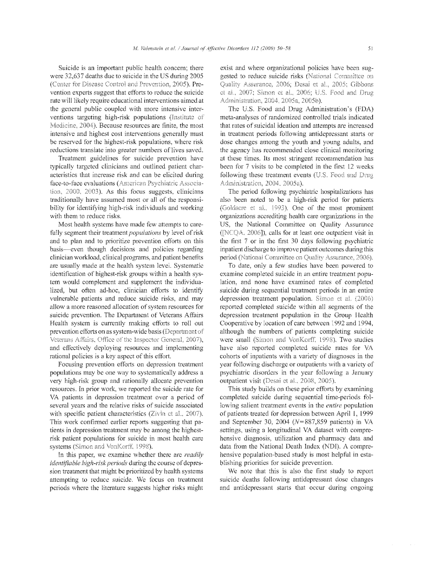Suicide is an important public health concern; there were 32,637 deaths due to suicide in the US during 2005 (Center for Disease Control and Prevention, 2005). Prevention experts suggest that efforts to reduce the suicide rate will likely require educational interventions aimed at the public coupled with more intensive interventions targeting high-risk populations (Institute of Medicine, 2004). Because resources are finite, the most intensive and highest cost interventions generally must be reserved for the highest-risk populations, where risk reductions translate into greater numbers of lives saved.

Treatment guidelines for suicide prevention have typically targeted clinicians and outlined patient characteristics that increase risk and can be elicited during face-to-face evaluations (American Psychiatric Association, 2000, 2003). As this focus suggests, clinicians traditionally have assumed most or all of the responsibility for identifying high-risk individuals and working with them to reduce risks.

Most health systems have made few attempts to carefully segment their treatment *populations* by level of risk and to plan and to prioritize prevention cfforts on this basis-even though decisions and policies regarding clinician workload, clinical programs, and patient benefits are usually made at the health system levei. Systematic identification of highest-risk groups within a health system would complement and supplement the individualized, but often ad-hoc, clinician efforts to identify vulnerable patients and reduce suicide risks, and may allow a more reasoned allocation of system resources for suicide prevention. The Department of Veterans Affairs Health system is currently making efforts to roll out prevention efforts on as system-wide basis (Department of Veterans Affairs, Office of the Inspector General, 2007), and effectively deploying resources and implementing rational policies is a key aspect of this effort.

Focusing prevention efforts on depression treatment populations may be one way to systematically address a very high-risk group and rationally allocate prevention resources. In prior work, we reported the suicide rate for VA patients in depression treatment over a period of several years and the relative risks of suicide associated with specific patient characteristics (Zivin et al., 2007). This work confirmed earlier reports suggesting that patients in depression treatment may be among the highestrisk patient populations for suicide in most health care systems (Simon and VonKorff, 1998).

In this paper, we examine whether there are *readily identifiable high-risk periods* during the course of depression treatment that might be prioritized by health systems attempting to reduce suicide. We focus on treatment periods where the literature suggests higher risks might exist and where organizational policies have been suggested to reduce suicide risks (National Committee on Quality Assurance, 2006; Desai et al., 2005; Gibbons et al., 2007; Simon et al., 2006; U.S. Food and Drug Administration, 2004, 2005a, 2005b).

The U.S. Food and Drug Administration's (FDA) meta-analyses of randomized controlled trials indicated that rates of suicidal ideation and attempts are increased in treatment periods following antidepressant starts or dose changes among the youth and young adults, and the agency has recommended close clinical monitoring at these times. Its most stringent recommendation has been for 7 visits to be completed in the first 12 weeks following these treatment events (U.S. Food and Drug Administration, 2004, 2005a).

The period following psychiatric hospitalizations has also been noted to be a high-risk period for patients (Goldacre et al., 1993). One of the most prominent organizations accrediting health care organizations in the US, the National Committee on Quality Assurance (INCOA, 2006]), calls for at least one outpatient visit in the first 7 or in the first 30 days following psychiatric inpatient discharge to improve patient outcomes during this period (National Committee on Quality Assurance, 2006).

To date, only a few studies have been powered to examine completed suicide in an entire treatment population, and none have examined rates of completed suicide during sequential treatment periods in an entire depression treatment population. Simon et al. (2006) reported completed suicide within all segments of the depression treatment population in the Group Health Cooperative by location of care between 1992 and 1994, although the numbers of patients completing suicide were small (Simon and VonKorff, 1998). Two studies have also reported completed suicide rates tor VA cohorts of inpatients with a variety of diagnoses in the year following discharge or outpatients with a variety of psychiatric disorders in the year following a January outpatient visit (Desai et al., 2008, 2005).

This study builds on these prior efforts by examining completed suicide during sequential time-periods following salient treatment events in the *entire* population of patients treated for depression between April 1, 1999 and September 30, 2004 *(N=887,859 patients)* in VA settings, using a longitudinal VA dataset with comprehensive diagnosis, utilization and pharmacy data and data from the National Death Index (NDI). A comprehensive population-based study is most helpful in establishing priorities for suicide prevention.

We note that this is also the first study to report suicide deaths following antidepressant dose changes and antidepressant starts that occur during ongoing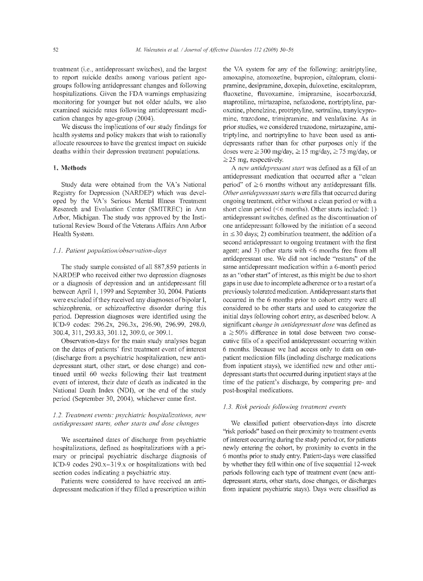treatment (*i.e.*, antidepressant switches), and the largest to report suicide deaths among various patient agegroups following antidepressant changes and following hospitalizations. Given the FDA warnings emphasizing monitoring for younger but not older adults, we also examined suicide rates following antidepressant medication changes by age-group  $(2004)$ .

We discuss the implications of our study findings for health systems and policy makers that wish to rationally allocate resources to have the greatest impact on suicide deaths within their depression treatment populations.

# 1. Methods

Study data were obtained from the VA's National Registry for Depression (NARDEP) which was developed by the VA's Serious Mental Illness Treatment Researeh and Evaluation Center (SMITREC) in Ann Arbor, Michigan. The study was approved by the Institutional Review Board of the Veterans Affairs Ann Arbor Health System.

# 1.1. Patient population/observation-days

The study sample consisted of all 887,859 patients in NARDEP who received either two depression diagnoses or a diagnosis of depression and an antidepressant fill between April 1, 1999 and September 30, 2004. Patients were excluded if they received any diagnoses of bipolar I, schizophrenia, or sehizoaffective disorder during this period. Depression diagnoses were identified using the ICD-9 codes: 296.2x, 296.3x, 296.90, 296.99, 298.0, 300.4, 311, 301.12, 309.0, or 309.1.

Observation-days for the main study analyses began on the dates of patients' first treatment event of interest (discharge from a psychiatric hospitalization, new antidepressant start, other start, or dose change) and continued until 60 weeks following their last treatment event of interest, their date of death as indicated in the National Death Index (NDI), or the end of the study period (September 30,2004), whichever came first.

# *1.2. Treatment events: psychiatric antidepressant starts, other starts and dose*

We ascertained dates of discharge from psychiatric hospitalizations, defined as hospitalizations with a primary or principal psychiatric discharge diagnosis of ICD-9 codes 290.x-319.x or hospitalizations with bed section codes indicating a psychiatric stay.

Patients were considered to have received an antidepressant medication if they filled a prescription within

the VA system for any of the following: amitriptyline, amoxapine, atomoxetine, bupropion, citalopram, clomipramine, desipramine, doxepin, duloxetine, escitalopram, fluoxetine, fluvoxamine, imipramine, isocarboxazid, maprotiline, mirtazapine, nefazodone, nortriptyline, paroxetine, phenelzine, protriptyline, sertraline, tranylcypromine, trazodone, trimipramine, and venlafaxine. As in prior studies, we considered trazodone, mirtazapine, amitriptyline, and nortriptyline to have been used as antidepressants rather than for other purposcs only if the doses were  $\geq$  300 mg/day,  $\geq$  15 mg/day,  $\geq$  75 mg/day, or  $\geq$  25 mg, respectively.

A *new antidepressant start* was defined as a fill of an antidepressant medication that occurred after a "clean period" of  $\geq 6$  months without any antidepressant fills. *Other antidepressant starts* were fills that occurred during ongoing treatment, either without a clean period or with a short clean period  $(66$  months). Other starts included: 1) antidepressant switches, defined as the discontinuation of one antidepressant followed by the initiation of a second in  $\le$  30 days; 2) combination treatment, the addition of a second antidepressant to ongoing treatment with the first agent; and 3) other starts with  $\leq 6$  months free from all antidepressant use. We did not include "restarts" of the same antidepressant medication within a 6-month period as an "other start" of interest, as this might be due to short gaps in use due to incomplete adherence or to a restart ofa previously tolerated medication. Antidepressant starts that occurred in the 6 months prior to cohort entry were all considered to be other starts and used to categorize the initial days following cohort entry, as described below. A *change in antidepressant dose* was defined as  $a \geq 50\%$  difference in total dose between two consecutive fills of a specified antidepressant occurring within 6 months. Because we had access only to data on outpatient medication fills (including discharge medications from inpatient stays), we identified new and other antidepressant starts that occurred during inpatient stays at the time of the patient's discharge, by comparing pre- and post-hospital medications.

## *1.3. Risk periods folloyving treatment events*

We classified patient observation-days into discrete "risk periods" based on their proximity to treatment events of interest occurring during the study period or, for patients newly entering the cohort, by proximity to events in the 6 months prior to study entry. Patient-days were classified by whether they fell within one of five sequential 12-week periods following each type of treatment cvent (new antidepressant starts, other starts, dose ehanges, or dischargcs from inpatient psyehiatric stays). Days were classified as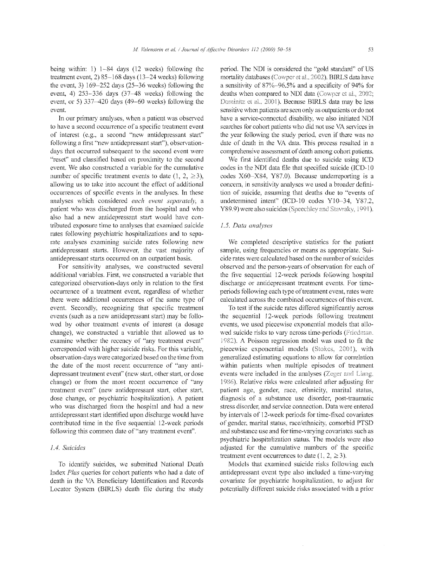being within: 1)  $1-84$  days (12 weeks) following the treatment event, 2) 85-168 days (13-24 weeks) following the event, 3)  $169-252$  days  $(25-36$  weeks) following the event, 4)  $253 - 336$  days  $(37 - 48$  weeks) following the event, or 5)  $337-420$  days (49-60 weeks) following the event

In our primary analyses, when a patient was observed to have a second occurrence of a specific treatment event of interest (e.g., a second "new antidepressant start" following a first "new antidepressant start"), observationdays that occurred subsequent to the second event were "reset" and classified based on proximity to the second event. We also constructed a variable for the cumulative number of specific treatment events to date  $(1, 2, \geq 3)$ , allowing us to take into account the effect of additional occurrences of specific events in the analyses. In these analyses which considered *each event separately,* a patient who was discharged from the hospital and who also had a new antidepressant start would have contributed exposure time to analyses that examined suicide rates following psychiatric hospitalizations and to separate analyses examining suicide rates following new antidepressant starts. However, the vast majority of antidepressant starts occurred on an outpatient basis,

For sensitivity analyses, we constructed several additional variables. First, we constructed a variable that categorized observation-days only in relation to the first occurrence of a treatment event, regardless of whether there were additional occurrences of the same type of event. Secondly, recognizing that specific treatment events (such as a new antidepressant start) may be followed by other treatment events of interest (a dosage change), we constructed a variable that allowed us to examine whether the recency of "any treatment event" corresponded with higher suicide risks. For this variable, observation-days were categorized based on the time from the date of the most recent occurrence of "any antidepressant treatment event" (new start. other start, or dose change) or from the most recent occurrence of "any treatment event" (new antidepressant start, other start. dose change, or psychiatric hospitalization). A patient who was discharged from the hospital and had a new antidepressant start identified upon discharge would have contributed time in the five sequential 12-week periods following this common date of "any treatment event".

## *104. Suicides*

To identify suicides, we submitted National Death Index *Plus* queries for cohort patients who had a date of death in the VA Beneficiary Identification and Records Locator System (BIRLS) death file during the study

period. The NDT is considered the "gold standard" of US mortality databases (Cowper et al., 2002). BIRLS data have a sensitivity of 87%,~96.5% and a specificity of 94% for deaths when compared to NDI data (Cowper et al., 2002; Dominitz et al., 2001). Because BIRLS data may be less sensitive when patients are seen only as outpatients or do not have a service-connected disability, we also initiated NDI searches for cohort patients who did not use VA services in the year following the study period, even if there was no date of death in the VA data. This process resulted in a comprehensive assessment of death among cohort patients.

We first identified deaths due to suicide using ICD codes in the NDI data file that specified suicide codes  $X60-X84$ ,  $Y87.0$ ). Because underreporting is a concem, in sensitivity analyses we used a broader definition of suicide, assuming that deaths due to "events of undetermined intent" (ICD-10 codes Y10-34, Y87.2, Y89.9) were also suicides (Speechley and Stavraky, 1991).

### *1.5. Data analyses*

We completed descriptive statistics for the patient sample, using frequencies or means as appropriate. Suicide rates were calculated based on the number of suicides observed and the person-years of observation for each of the five sequential 12-week periods following hospital discharge or antidepressant treatment events. For timeperiods following each type of treatment event, rates were calculated across the combined occurrences of this event.

To test if the suicide rates differed significantly across the sequential 12-week periods following treatment events, we used pieeewise exponential models that allowed suicide risks to vary across time-periods (Friedman. 1982). A Poisson regression model was used to fit the piecewise exponential models (Stokes, 2001), with generalized estimating equations to allow for eonelation within patients when multiple episodes of treatment events were included in the analyses (Zeger and Liang. 1986). Relative risks were calculated after adjusting for patient age, gender, race, ethnicity, marital status, diagnosis of a substance use disorder, post-traumatic stress disorder, and service connection. Data were entered by intervals of 12-week periods for time-fixed covariates of gender, marital status, race/ethnieity, comorbid PTSD and substance use and for time-varying covariates such as psychiatric hospitalization status. The models were also adjusted for the cumulative numbers of the specific treatment event occurrences to date  $(1, 2, \geq 3)$ .

Models that examined suicide risks following each antidepressant event type also included a time-varying covariate for psychiatric hospitalization, to adjust for potentially different suicide risks associated with a prior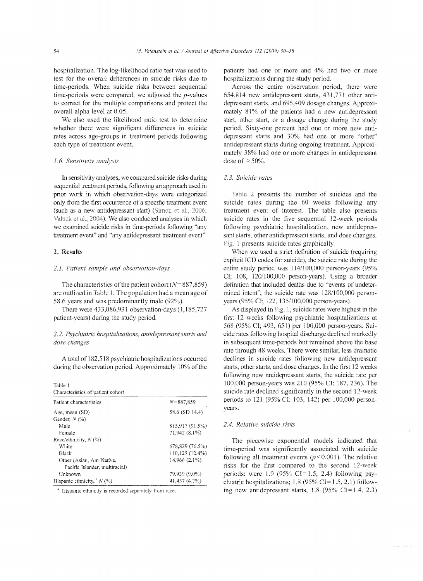hospitalization. The log-likelihood ratio test was used to test for the overall differcnces in suicide risks due to time-periods. When suicide risks between sequential time-periods were compared, we adjusted the  $p$ -values to correct for the multiple comparisons and protect the overall alpha level at 0.05.

We also used the likelihood ratio test to determine whether there were significant differences in suicide rates across age-groups in treatment periods following each type of treatment event.

# 1.6. *Sensitivity analysis*

In sensitivity analyses, we compared suicide risks during sequential treatment periods, following an approach used in prior work in which observation-days were categorized only from the first occurrence of a specific treatment event (such as a new antidepressant start) (Simon et al., 2006; Valuck et al., 2004). We also conducted analyses in which we examincd suicidc risks in time-periods following "any treatment event" and "any antidepressant treatment event".

# 2. Results

# *2.1. Patient and observation-days*

The characteristics of the patient cohort  $(N= 887,859)$ are outlined in Table 1. The population had a mean age of 58.6 years and was predominantly male (92%).

There were 433,086,931 observation-days (1,185,727 patient-years) during the study period.

# 2.2. Psychiatric hospitalizations, antidepressant starts and dose changes

A total of 182,518 psychiatric hospitalizations occurred during the observation period. Approximately 10% of the

Table I Characteristics of psticnt cohort

| Patient characteristics        | $N = 887.859$<br>58.6 (SD 14.4) |  |
|--------------------------------|---------------------------------|--|
| Age, mean (SD)                 |                                 |  |
| Gender, $N(%)$                 |                                 |  |
| Male                           | 815.917 (91.9%)                 |  |
| Female                         | 71,942 (8.1%)                   |  |
| Race/ethnicity, $N$ (%)        |                                 |  |
| White                          | 678,829 (76.5%)                 |  |
| Black                          | 110,125 (12.4%)                 |  |
| Other (Asian, Am Native,       | 18.966 (2.1%)                   |  |
| Pacific Islander, multiracial) |                                 |  |
| Unknown                        | 79.939 (9.0%)                   |  |
| Hispanic ethnicity, $N(%)$     | 41,457 (4.7%)                   |  |

<sup>a</sup> Hispanic ethnicity is recorded separately from race.

patients had one or more and 4% had two or more hospitalizations during the study period.

Across the entire observation period, there were 654,814 new antidepressant starts, 431,771 other antidepressant starts, and 695,409 dosage changes. Approximately 81% of the patients had a new antidepressant start, other start, or a dosage change during the study period. Sixty-one percent had one or more new antidepressant statts and 30% had one or more "other" antidepressant starts during ongoing treatment. Approximately 38% had one or more changes in antidepressant dose of  $\geq$  50%.

# *2.3. Suicide rates*

Table 2 presents the number of suicides and the suicide rates during the 60 weeks following any treatment event of interest. The table also presents suicide rates in the five sequential 12-week periods following psychiatric hospitalization, new antidepressant starts, other antidepressant starts, and dose changes. Fig. 1 presents suicide rates graphically.

When we used a strict definition of suicide (requiring explicit ICD codes for suicide), the suicide rate during the entire study period was  $114/100,000$  person-years (95% CI; 108, 120/100,000 person-years). Using a broader definition that included deaths due to "events of undetermined intent", the suicide rate was 128/100,000 personyears (95% CI; 122, 135/100,000 person-years).

As displayed in Fig. 1, suicide rates were highest in the first 12 wecks following psychiatric hospitalizations at 568 651) per 100,000 person-years. Suicide rates following hospital discharge declined in subsequent time-periods but remained above the base rate through 48 weeks. There were similar, less dramatic declines in suicide rates following new antidepressant starts, other starts, and dose changes. In the first 12 weeks following new antidepressant starts, the suicide rate per 100,000 person-years was 210 (95% CI; 187, 236). The suicide rate declined significantly in the second 12-week periods to 121 (95% CI; 103, 142) per 100,000 personyears.

#### *2.4. Relative suicide risks*

The piecewise exponential models indicated that time-period was significantly associated with suicide following all treatment events  $(p<0.001)$ . The relative risks for the first compared to the second 12-week periods: were  $1.9$  (95% CI=1.5, 2.4) following psychiatric hospitalizations;  $1.8$  (95% CI=1.5, 2.1) following new antidepressant starts,  $1.8$  (95% CI=1.4, 2.3)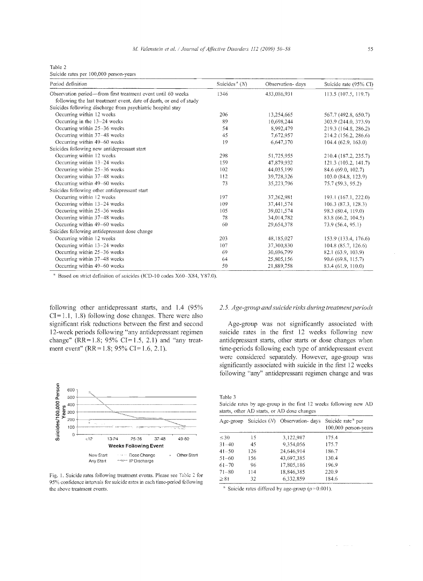Table 2

Suicide rates per 100,000 person-years

| Period definition                                                                                                                  | Suicides <sup><math>a(N)</math></sup> | Observation-days | Suicide rate (95% CI) |
|------------------------------------------------------------------------------------------------------------------------------------|---------------------------------------|------------------|-----------------------|
| Observation period—from first treatment event until 60 weeks<br>following the last treatment event, date of death, or end of study | 1346                                  | 433,086,931      | 113.5 (107.5, 119.7)  |
| Suicides following discharge from psychiatric hospital stay                                                                        |                                       |                  |                       |
| Occurring within 12 weeks                                                                                                          | 206                                   | 13,254,665       | 567.7 (492.8, 650.7)  |
| Occurring in the $13-24$ weeks                                                                                                     | 89                                    | 10,698,244       | 303.9 (244.0, 373.9)  |
| Occurring within 25-36 weeks                                                                                                       | 54                                    | 8,992,479        | 219.3 (164.8, 286.2)  |
| Occurring within 37-48 weeks                                                                                                       | 45                                    | 7,672,957        | 214.2 (156.2, 286.6)  |
| Occurring within 49-60 weeks                                                                                                       | 19                                    | 6,647,370        | 104.4(62.9, 163.0)    |
| Suicides following new antidepressant start                                                                                        |                                       |                  |                       |
| Occurring within 12 weeks                                                                                                          | 298                                   | 51,725,955       | 210.4 (187.2, 235.7)  |
| Occurring within 13-24 weeks                                                                                                       | 159                                   | 47.879.932       | 121.3 (103.2, 141.7)  |
| Occurring within 25-36 weeks                                                                                                       | 102                                   | 44,035,199       | 84.6 (69.0, 102.7)    |
| Occurring within 37-48 weeks                                                                                                       | 112                                   | 39,728,326       | 103.0 (84.8, 123.9)   |
| Occurring within 49-60 weeks                                                                                                       | 73                                    | 35,223,796       | 75.7 (59.3, 95.2)     |
| Suicides following other antidepressant start                                                                                      |                                       |                  |                       |
| Occurring within 12 weeks                                                                                                          | 197                                   | 37,262,981       | 193.1 (167.1, 222.0)  |
| Occurring within 13-24 weeks                                                                                                       | 109                                   | 37,441,574       | 106.3 (87.3, 128.3)   |
| Occurring within 25-36 weeks                                                                                                       | 105                                   | 39,021,574       | 98.3 (80.4, 119.0)    |
| Occurring within 37–48 weeks                                                                                                       | 78                                    | 34,014,782       | 83.8 (66.2, 104.5)    |
| Occurring within 49-60 weeks                                                                                                       | 60                                    | 29,654,378       | 73.9 (56.4, 95.1)     |
| Suicides following antidepressant dose change                                                                                      |                                       |                  |                       |
| Occurring within 12 weeks                                                                                                          | 203                                   | 48,185,027       | 153.9 (133.4, 176.6)  |
| Occurring within 13-24 weeks                                                                                                       | 107                                   | 37,300,830       | 104.8(85.7, 126.6)    |
| Occurring within 25–36 weeks                                                                                                       | 69                                    | 30,696,799       | 82.1 (63.9, 103.9)    |
| Occurring within 37-48 weeks                                                                                                       | 64                                    | 25,805,156       | 90.6 (69.8, 115.7)    |
| Occurring within 49-60 weeks                                                                                                       | 50                                    | 21,889,758       | 83.4 (61.9, 110.0)    |

 $^{\circ}$  Based on strict definition of suicides (ICD-10 codes X60--X84, Y87.0).

following other antidepressant starts, and 1.4 (95%  $CI = 1.1, 1.8$ ) following dose changes. There were also significant risk reductions between the first and second 12-week periods following "any antidepressant regimen change" (RR= $1.8$ ; 95% CI= $1.5$ , 2.1) and "any treatment event" (RR = 1.8; 95% CI = 1.6, 2.1).



Fig. 1. Suicide rates following treatment events. Please see Table 2 for 95% confidence intervals tor suicide rates in each time-period following the above treatment events.

# *2.5. Age-group and suicide risks during treatment perioch;*

Age-group was not significantly associated with suicide rates in the first 12 weeks following new antidepressant starts, other starts or dose changes when time-periods following each type of antidepressant event were considered separately. However, age-group was significantly associated with suicide in the first 12 weeks following "any" antidepressant regimen change and was

Table 3

Suicide rates by age-group in the first 12 weeks following new AD starts, other AD starts. or AD dose changes

|           |     | Age-group Suicides $(N)$ Observation- days | Suicide rate <sup>a</sup> per<br>100,000 person-years |
|-----------|-----|--------------------------------------------|-------------------------------------------------------|
| $\leq 30$ | 15  | 3,122,987                                  | 175.4                                                 |
| $31 - 40$ | 45  | 9.354.056                                  | 175.7                                                 |
| $41 - 50$ | 126 | 24,646,914                                 | 186.7                                                 |
| $51 - 60$ | 156 | 43.697.385                                 | 130.4                                                 |
| $61 - 70$ | 96  | 17.805.186                                 | 196.9                                                 |
| $71 - 80$ | 114 | 18,846,385                                 | 220.9                                                 |
| $\geq$ 81 | 32  | 6.332,859                                  | 184.6                                                 |

<sup>a</sup> Suicide rates differed by age-group ( $p=0.001$ ).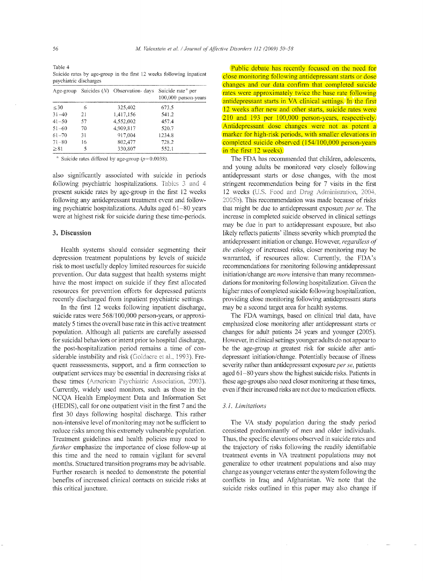Table 4 Suicide rates by age-group in the first 12. weeks following inpatient psychiatric discharges

|           |    | Age-group Suicides $(N)$ Observation- days Suicide rate <sup>4</sup> per | 100,000 person-years |
|-----------|----|--------------------------------------------------------------------------|----------------------|
| $\leq 30$ | 6  | 325,402                                                                  | 673.5                |
| $31 - 40$ | 21 | 1.417,156                                                                | 541.2                |
| $41 - 50$ | 57 | 4,552,002                                                                | 457.4                |
| $51 - 60$ | 70 | 4,909,817                                                                | 520.7                |
| $61 - 70$ | 31 | 917,004                                                                  | 1234.8               |
| $71 - 80$ | 16 | 802.477                                                                  | 728.2                |
| > 81      | 5  | 330,807                                                                  | 552.1                |

<sup>a</sup> Suicide rates differed by age-group  $(p=0.0038)$ .

also significantly associated with suicide in periods following psychiatric hospitalizations. Tables 3 and 4 present suicide rates by age-group in the first 12 weeks following any antidepressant treatment event and following psychiatric hospitalizations. Adults aged 61-80 years were at highest risk for suicide during these time-periods.

# 3. Discussion

Health systems should consider segmenting their depression treatment populations by levels of suicide risk to most usefully deploy limited resources for suicide prevention. Our data suggest that health systems might have the most impact on suicide if they first allocated resources for prevention efforts for depressed patients recently discharged from inpatient psychiatric settings.

In the first 12 weeks following inpatient discharge, suicide rates were 568/100,000 person-years, or approximately 5 times the overall base rate in this active treatment population. Although all patients are carefully assessed for suicidal behaviors or intent prior to hospital discharge. the post-hospitalization period remains a time of considerable instability and risk (Goldacre et al., 1993). Frequent reassessments, support, and a finn connection to outpatient services may be essential in decreasing risks at these times (American Psychiatric Association, 2003). Currently, widely used monitors. such as those in the NCQA Health Employment Data and Intormation Set (HEDIS), call for one outpatient visit in the first 7 and the first 30 days following hospital discharge. This rather non-intensive level ofmonitoring may not be sufficient to reduce risks among this extremely vulnerable population. Treatment guidelines and health policies may need to *further* emphasize the importance of close follow-up at this time and the need to remain vigilant for several months. Structured transition programs may be advisable. Further research is needed to demonstrate the potential benefits of increased clinical contacts on suicide risks at this critical juncture.

Public debate has recently focused on the need for close monitoring following antidepressant starts or dose changes and our data confirm that completed suicide rates were approximately twice the base rate following antidepressant starts in VA clinical settings. **In** the first 12 weeks after new and other starts, suicide rates were 210 and 193 per 100,000 person-years, respectively. Antidepressant dose changes were not as potent a marker for high-risk periods, with smaller elevations in completed suicide observed (154/100,000 person-years) in the first 12 weeks).

The FDA has recommended that children, adolescents, and young adults be monitored very closely following antidepressant starts or dose changes, with the most stringent recommendation being for 7 visits in the first 12 weeks (U.S. Food and Drug Administration, 2004, 2005b). This recommendation was made because of risks that might be due to antidepressant exposure *per se.* The increase in completed suicide observed in clinical settings may be due in part to antidepressant exposure, but also likely reflects patients' illness severity which prompted the antidepressant initiation or change. However, *regardless of the etiology* of increased risks, closer monitoring may be wananted, if resources allow. Currently, the FDA's recommendations for monitoring following antidepressant initiation/change are *more* intensive than many recommendations for monitoring following hospitalization. Given the higher rates of completed suicide following hospitalization, providing close monitoring following antidepressant starts may be a second target area for health systems.

The FDA wamings, based on clinical trial data, have emphasized close monitoring after antidepressant starts or changes for adult patients 24 years and younger (2005). However, in clinical settings younger adults do not appear to be the age-group at greatest risk for suicide after antidepressant initiation/change. Potentially because of illness severity rather than antidepressant exposure *per se*, patients aged 61-80 years show the highest suicide risks. Patients in these age-groups also need closer monitoring at these times, even if their increased risks are not due to medication effects.

# 3. j. *Limitations*

The VA study population during the study period consisted predominantly of men and older individuals. Thus, the specific elevations observed in suicide rates and the trajectory of risks following the readily identifiable treatment events in VA treatment populations may not generalize to other treatment populations and also may change as younger veterans enter the system following the conflicts in Iraq and Afghanistan. We note that the suicide risks outlined in this paper may also change if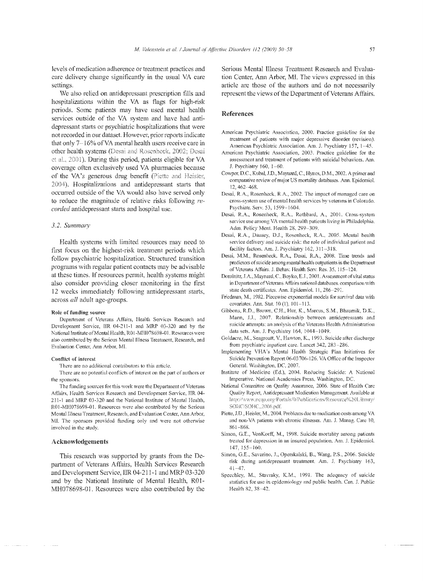levels of medication adherence or treatment practices and care delivery change significantly in the usual VA care settings.

We also relied on antidepressant preseription fills and hospitalizations within the VA as flags for high-risk periods, Some patients may have used mental health services outside of the VA system and have had antidepressant starts or psychiatric hospitalizations that were not recorded in our dataset. However, prior reports indicate that only 7–16% of VA mental health users receive care in other health systems (Desai and Rosenheck, 2002; Desai et al., 2001). During this period, patients eligible for VA coverage often exclusively used VA pharmacies because of the VA's generous drug benefit (Piette and Heisler, 2004). Hospitalizations and antidepressant starts that occun'ed outside of the VA would also have served only to reduce the magnitude of relative risks following re*corded* antidepressant starts and hospital use.

## *3.2. Summary*

Health systems with limited resources may need to first focus on the highest-risk treatment periods which follow psychiatric hospitalization. Structured transition programs with regular patient contacts may be advisable at these times. If resources pennit, health systems might also consider providing closer monitoring in the first 12 weeks immediately following antidepressant starts, across *all* adult age-groups.

#### Role of funding source

Department of Veterans Affairs, Health Services Research and Development Service, IlR 04-2U-I and MRP 03-320 and by the National Institute of Mental Health, ROI-MH078698-01. Resources were also contributed by the Serious Mental Illness Treatment, Research, and Evaluation Center, Ann Arbor, Ml.

#### Conflict of interest

There are no additional contributors to this article.

There are no potential conflicts of interest on the part of authors or the sponsors.

The funding sources for this work were the Department of Veterans Affairs, Health Services Research and Development Service, IIR 04-211-1 and MRP 03-320 and the National Institute of Mental Health, ROJ-MH078698-0J Resources were also contributed by the Serious Mental Illness Treatment, Research, and Evaluation Center, Ann Arbor, MI. The sponsors provided funding only and were not otherwise involved in the study.

#### Acknowledgements

This research was supported by grants from the Department of Veterans Affairs, Health Services Research and Development Service, IIR 04-211-1 and MRP 03-320 and by the National Institute of Mental Health, R01-MH078698-01. Resources were also contributed by the

Serious Mental Illness Treatment Research and Evaluation Center, Ann Arbor, MI. The views article are those of the authors and do not necessarily represent the views of the Department of Veterans Affairs.

#### References

- American Psychiatric Association, 2000. Practice guideline for the treatment of patients with major depressive disorder (revision). American Psychiatric Association. Am. J. Psychiatry 157, 1-45.
- American Psychiatric Association, 2003. Practice guideline for the assessment and treatment of patients with suicidal behaviors. Am. J. Psychiatry 160, 1-60.
- Cowper, D.C., Kubal, J.D., Maynard, C., Hynes, D.M., 2002. A primer and comparative review of major US mortality databases. Ann. Epidemiol. 12,402-468.
- Desai, R.A., Rosenheck, R.A., 2002. The impact of managed care on cross-system use of mental health services by veterans in Colorado. Psychiatr. Serv. 53, 1599-1604.
- Desai, R.A., Rosenheck, R.A.. Rothbard, A., 2001. Cross-system service use among VA mental health patients living in Philadelphia. Adm. Policy Ment. Health 28, 299-309.
- Desai, R.A., Dausey. OJ., Rosenheck. R.A., ZOOS. Mental health service delivery and suicide risk: the role of individual patient and facility factors. Am. J. Psychiatry 162, 311-318.
- Desai, N1.M., Rosen heck, R.A., Desai, R.A., 2008. Time trends and predictors of suicide among mental health outpatients in the Department of Veterans Affairs. J. Behav. Health Serv. Res. 35, 115-124.
- Dominitz, J.A., Maynard, C., Boyko, E.J., 2001. Assessment of vital status in Department of Veterans Affairs national databases. comparison with state death certificates. Ann. Epidemiol. 11, 286-291.
- Friedman, M., 1982. Piecewise exponential models for survival data with covariates. Ann. Stat. 10 (1), 101-113.
- Gibbons, R.D., Brown, CH., Hur, K., Marcus, S.M., Bhaumik, D.K., Mann, J.J., 2007. Relationship between antidepressants and suicide attempts: an analysis of the Veterans Health Administration data sets. Am. J. Psychiatry 164, 1044-1049.
- Goldaere, M., Seagroatt, v., Hawton, K., 1993. Suicide atter discharge from psychiatric inpatient care. Lancet 342, 283-286.
- Implementing VHA's Mental Health Strategic Plan Initiatives for Suicide Prevention Report 06-03706-126. VA Office of the Inspector General. Washington, DC, 2007.
- Institute of Medicine (Ed.), 2004. Reducing Suicide: A National Imperative. National Academics Press. Washington, Dc:.
- National Committee on Quality Assurance, 2006. State of Health Care Quality Report, Antidepressant Medication Management. Available at http://www.ncqa.org/Portals/0/Publications/Resource%20Library/ SOHC/SOHC\_2006.pdf.
- Piette, J.D., Heisler, M., 2004. Problems due to medication costs among VA and non-VA patients with chronic illnesses. Am. J. Manag. Care 10, 861-868.
- Simon, G.E., VonKorff, M., 1998. Suicide mortality among patients treated for depression in an insured population. Am. 1. Epidemiol. 147,155-160.
- Simon, G.E., Savarino, J., Operskalski, B., Wang, P.S., 2006. Suicide risk during antidepressant treatment. Am. 1. Psychiatry 163,  $41 - 47$ .
- Specchley, M., Stavraky, K.M., 1991. The adequacy of suicide statistics for use in epidemiology and public health. Can. J. Public Health 82, 38-42.